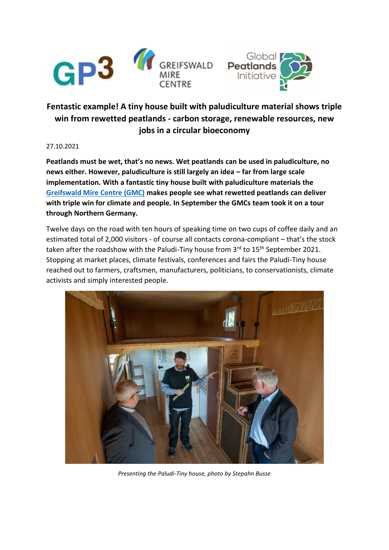



# **Fentastic example! A tiny house built with paludiculture material shows triple win from rewetted peatlands - carbon storage, renewable resources, new jobs in a circular bioeconomy**

#### 27.10.2021

**Peatlands must be wet, that's no news. Wet peatlands can be used in paludiculture, no news either. However, paludiculture is still largely an idea – far from large scale implementation. With a fantastic tiny house built with paludiculture materials the [Greifswald Mire Centre \(GMC\)](https://www.greifswaldmoor.de/) makes people see what rewetted peatlands can deliver with triple win for climate and people. In September the GMCs team took it on a tour through Northern Germany.**

Twelve days on the road with ten hours of speaking time on two cups of coffee daily and an estimated total of 2,000 visitors - of course all contacts corona-compliant – that's the stock taken after the roadshow with the Paludi-Tiny house from  $3^{rd}$  to  $15^{th}$  September 2021. Stopping at market places, climate festivals, conferences and fairs the Paludi-Tiny house reached out to farmers, craftsmen, manufacturers, politicians, to conservationists, climate activists and simply interested people.



*Presenting the Paludi-Tiny house, photo by Stepahn Busse*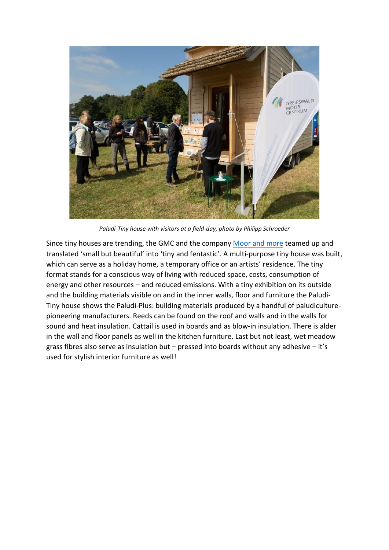

*Paludi-Tiny house with visitors at a field-day, photo by Philipp Schroeder*

Since tiny houses are trending, the GMC and the compan[y Moor and more](https://moor-and-more.de/) teamed up and translated 'small but beautiful' into 'tiny and fentastic'. A multi-purpose tiny house was built, which can serve as a holiday home, a temporary office or an artists' residence. The tiny format stands for a conscious way of living with reduced space, costs, consumption of energy and other resources – and reduced emissions. With a tiny exhibition on its outside and the building materials visible on and in the inner walls, floor and furniture the Paludi-Tiny house shows the Paludi-Plus: building materials produced by a handful of paludiculturepioneering manufacturers. Reeds can be found on the roof and walls and in the walls for sound and heat insulation. Cattail is used in boards and as blow-in insulation. There is alder in the wall and floor panels as well in the kitchen furniture. Last but not least, wet meadow grass fibres also serve as insulation but – pressed into boards without any adhesive – it's used for stylish interior furniture as well!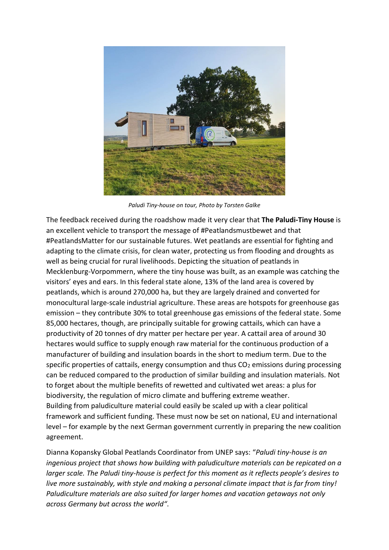

*Paludi Tiny-house on tour, Photo by Torsten Galke*

The feedback received during the roadshow made it very clear that **The Paludi-Tiny House** is an excellent vehicle to transport the message of #Peatlandsmustbewet and that #PeatlandsMatter for our sustainable futures. Wet peatlands are essential for fighting and adapting to the climate crisis, for clean water, protecting us from flooding and droughts as well as being crucial for rural livelihoods. Depicting the situation of peatlands in Mecklenburg-Vorpommern, where the tiny house was built, as an example was catching the visitors' eyes and ears. In this federal state alone, 13% of the land area is covered by peatlands, which is around 270,000 ha, but they are largely drained and converted for monocultural large-scale industrial agriculture. These areas are hotspots for greenhouse gas emission – they contribute 30% to total greenhouse gas emissions of the federal state. Some 85,000 hectares, though, are principally suitable for growing cattails, which can have a productivity of 20 tonnes of dry matter per hectare per year. A cattail area of around 30 hectares would suffice to supply enough raw material for the continuous production of a manufacturer of building and insulation boards in the short to medium term. Due to the specific properties of cattails, energy consumption and thus  $CO<sub>2</sub>$  emissions during processing can be reduced compared to the production of similar building and insulation materials. Not to forget about the multiple benefits of rewetted and cultivated wet areas: a plus for biodiversity, the regulation of micro climate and buffering extreme weather. Building from paludiculture material could easily be scaled up with a clear political framework and sufficient funding. These must now be set on national, EU and international level – for example by the next German government currently in preparing the new coalition agreement.

Dianna Kopansky Global Peatlands Coordinator from UNEP says: "*Paludi tiny-house is an ingenious project that shows how building with paludiculture materials can be repicated on a larger scale. The Paludi tiny-house is perfect for this moment as it reflects people's desires to live more sustainably, with style and making a personal climate impact that is far from tiny! Paludiculture materials are also suited for larger homes and vacation getaways not only across Germany but across the world"*.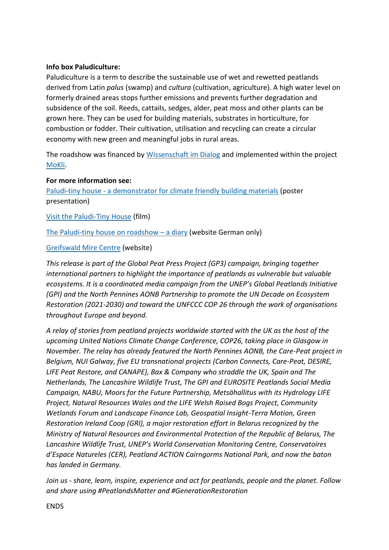## **Info box Paludiculture:**

Paludiculture is a term to describe the sustainable use of wet and rewetted peatlands derived from Latin *palus* (swamp) and *cultura* (cultivation, agriculture). A high water level on formerly drained areas stops further emissions and prevents further degradation and subsidence of the soil. Reeds, cattails, sedges, alder, peat moss and other plants can be grown here. They can be used for building materials, substrates in horticulture, for combustion or fodder. Their cultivation, utilisation and recycling can create a circular economy with new green and meaningful jobs in rural areas.

The roadshow was financed by [Wissenschaft im Dialog](https://www.wissenschaft-im-dialog.de/) and implemented within the project [MoKli.](https://www.moorwissen.de/de/paludikultur/projekte/mokli/index.php)

### **For more information see:**

Paludi-tiny house - [a demonstrator for climate friendly building materials](https://mowi.botanik.uni-greifswald.de/doc/aktuelles/veranstaltungen/rrr2021/downloads/beitraege/RRR2021_3.1.C_Nordt_Poster.pdf) (poster presentation)

[Visit the Paludi-Tiny House](https://www.youtube.com/watch?v=jnlCO10ttuQ&list=PL_wfoErl3pcpXKyyHEIcukTU6jBPQDB95&index=5) (film)

[The Paludi-tiny house on roadshow](https://www.moorwissen.de/de/paludikultur/imdetail/umsetzungsbeispiele/paluditinyhouse/tourtage.php) – a diary (website German only)

### [Greifswald Mire Centre](https://www.greifswaldmoor.de/) (website)

*This release is part of the Global Peat Press Project (GP3) campaign, bringing together international partners to highlight the importance of peatlands as vulnerable but valuable ecosystems. It is a coordinated media campaign from the UNEP's Global Peatlands Initiative (GPI) and the North Pennines AONB Partnership to promote the UN Decade on Ecosystem Restoration (2021-2030) and toward the UNFCCC COP 26 through the work of organisations throughout Europe and beyond.* 

*A relay of stories from peatland projects worldwide started with the UK as the host of the upcoming United Nations Climate Change Conference, COP26, taking place in Glasgow in November. The relay has already featured the North Pennines AONB, the Care-Peat project in Belgium, NUI Galway, five EU transnational projects (Carbon Connects, Care-Peat, DESIRE, LIFE Peat Restore, and CANAPE), Bax & Company who straddle the UK, Spain and The Netherlands, The Lancashire Wildlife Trust, The GPI and EUROSITE Peatlands Social Media Campaign, NABU, Moors for the Future Partnership, Metsähallitus with its Hydrology LIFE Project, Natural Resources Wales and the LIFE Welsh Raised Bogs Project, Community Wetlands Forum and Landscape Finance Lab, Geospatial Insight-Terra Motion, Green Restoration Ireland Coop (GRI), a major restoration effort in Belarus recognized by the Ministry of Natural Resources and Environmental Protection of the Republic of Belarus, The Lancashire Wildlife Trust, UNEP's World Conservation Monitoring Centre, Conservatoires d'Espace Natureles (CER), Peatland ACTION Cairngorms National Park, and now the baton has landed in Germany.* 

*Join us - share, learn, inspire, experience and act for peatlands, people and the planet. Follow and share using #PeatlandsMatter and #GenerationRestoration*